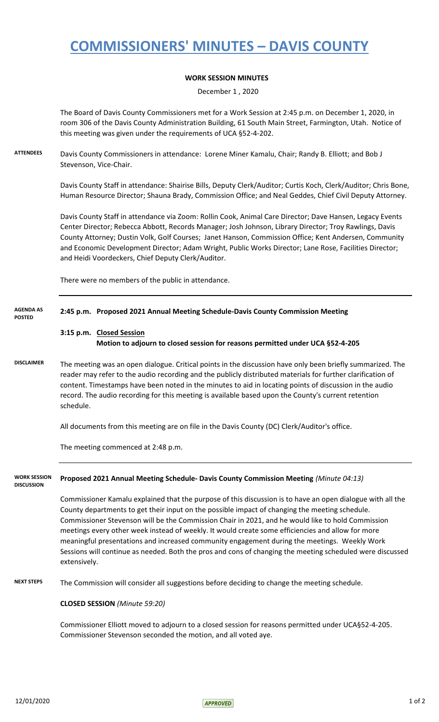## **COMMISSIONERS' MINUTES – DAVIS COUNTY**

## **WORK SESSION MINUTES**

December 1 , 2020

The Board of Davis County Commissioners met for a Work Session at 2:45 p.m. on December 1, 2020, in room 306 of the Davis County Administration Building, 61 South Main Street, Farmington, Utah. Notice of this meeting was given under the requirements of UCA §52-4-202.

**ATTENDEES** Davis County Commissioners in attendance: Lorene Miner Kamalu, Chair; Randy B. Elliott; and Bob J Stevenson, Vice-Chair.

> Davis County Staff in attendance: Shairise Bills, Deputy Clerk/Auditor; Curtis Koch, Clerk/Auditor; Chris Bone, Human Resource Director; Shauna Brady, Commission Office; and Neal Geddes, Chief Civil Deputy Attorney.

Davis County Staff in attendance via Zoom: Rollin Cook, Animal Care Director; Dave Hansen, Legacy Events Center Director; Rebecca Abbott, Records Manager; Josh Johnson, Library Director; Troy Rawlings, Davis County Attorney; Dustin Volk, Golf Courses; Janet Hanson, Commission Office; Kent Andersen, Community and Economic Development Director; Adam Wright, Public Works Director; Lane Rose, Facilities Director; and Heidi Voordeckers, Chief Deputy Clerk/Auditor.

There were no members of the public in attendance.

| <b>AGENDA AS</b><br><b>POSTED</b>        | 2:45 p.m. Proposed 2021 Annual Meeting Schedule-Davis County Commission Meeting                                                                                                                                                                                                                                                                                                                                                                          |
|------------------------------------------|----------------------------------------------------------------------------------------------------------------------------------------------------------------------------------------------------------------------------------------------------------------------------------------------------------------------------------------------------------------------------------------------------------------------------------------------------------|
|                                          | 3:15 p.m. Closed Session                                                                                                                                                                                                                                                                                                                                                                                                                                 |
|                                          | Motion to adjourn to closed session for reasons permitted under UCA §52-4-205                                                                                                                                                                                                                                                                                                                                                                            |
| <b>DISCLAIMER</b>                        | The meeting was an open dialogue. Critical points in the discussion have only been briefly summarized. The<br>reader may refer to the audio recording and the publicly distributed materials for further clarification of<br>content. Timestamps have been noted in the minutes to aid in locating points of discussion in the audio<br>record. The audio recording for this meeting is available based upon the County's current retention<br>schedule. |
|                                          | All documents from this meeting are on file in the Davis County (DC) Clerk/Auditor's office.                                                                                                                                                                                                                                                                                                                                                             |
|                                          | The meeting commenced at 2:48 p.m.                                                                                                                                                                                                                                                                                                                                                                                                                       |
| <b>WORK SESSION</b><br><b>DISCUSSION</b> | Proposed 2021 Annual Meeting Schedule- Davis County Commission Meeting (Minute 04:13)                                                                                                                                                                                                                                                                                                                                                                    |
|                                          | Commissioner Kamalu explained that the purpose of this discussion is to have an open dialogue with all the<br>County departments to get their input on the possible impact of changing the meeting schedule.<br>Commissioner Stevenson will be the Commission Chair in 2021, and he would like to hold Commission<br>meetings every other week instead of weekly. It would create some efficiencies and allow for more                                   |

meaningful presentations and increased community engagement during the meetings. Weekly Work Sessions will continue as needed. Both the pros and cons of changing the meeting scheduled were discussed extensively.

**NEXT STEPS** The Commission will consider all suggestions before deciding to change the meeting schedule.

## **CLOSED SESSION** *(Minute 59:20)*

Commissioner Elliott moved to adjourn to a closed session for reasons permitted under UCA§52-4-205. Commissioner Stevenson seconded the motion, and all voted aye.